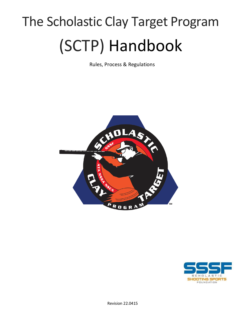# The Scholastic Clay Target Program (SCTP) Handbook

Rules, Process & Regulations



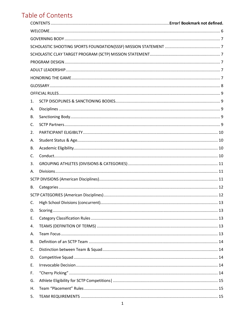# Table of Contents

| 1. |  |  |  |  |  |
|----|--|--|--|--|--|
| А. |  |  |  |  |  |
| В. |  |  |  |  |  |
| C. |  |  |  |  |  |
| 2. |  |  |  |  |  |
| А. |  |  |  |  |  |
| В. |  |  |  |  |  |
| C. |  |  |  |  |  |
| 3. |  |  |  |  |  |
| А. |  |  |  |  |  |
|    |  |  |  |  |  |
| В. |  |  |  |  |  |
|    |  |  |  |  |  |
| C. |  |  |  |  |  |
| D. |  |  |  |  |  |
| Ε. |  |  |  |  |  |
| 4. |  |  |  |  |  |
| А. |  |  |  |  |  |
| В. |  |  |  |  |  |
| C. |  |  |  |  |  |
| D. |  |  |  |  |  |
| Ε. |  |  |  |  |  |
| F. |  |  |  |  |  |
| G. |  |  |  |  |  |
| Η. |  |  |  |  |  |
| 5. |  |  |  |  |  |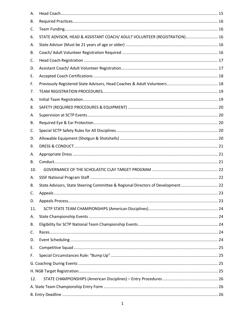| А.  |                                                                                 |  |  |  |
|-----|---------------------------------------------------------------------------------|--|--|--|
| В.  |                                                                                 |  |  |  |
| C.  |                                                                                 |  |  |  |
| 6.  | STATE ADVISOR, HEAD & ASSISTANT COACH/ ADULT VOLUNTEER (REGISTRATION) 16        |  |  |  |
| А.  |                                                                                 |  |  |  |
| В.  |                                                                                 |  |  |  |
| C.  |                                                                                 |  |  |  |
| D.  |                                                                                 |  |  |  |
| Ε.  |                                                                                 |  |  |  |
| F.  |                                                                                 |  |  |  |
| 7.  |                                                                                 |  |  |  |
| А.  |                                                                                 |  |  |  |
| 8.  |                                                                                 |  |  |  |
| А.  |                                                                                 |  |  |  |
| В.  |                                                                                 |  |  |  |
| C.  |                                                                                 |  |  |  |
| D.  |                                                                                 |  |  |  |
| 9.  |                                                                                 |  |  |  |
| А.  |                                                                                 |  |  |  |
| В.  |                                                                                 |  |  |  |
| 10. |                                                                                 |  |  |  |
| А.  |                                                                                 |  |  |  |
| В.  | State Advisors, State Steering Committee & Regional Directors of Development 22 |  |  |  |
| C.  |                                                                                 |  |  |  |
| D.  |                                                                                 |  |  |  |
| 11. |                                                                                 |  |  |  |
| А.  |                                                                                 |  |  |  |
| В.  |                                                                                 |  |  |  |
| C.  |                                                                                 |  |  |  |
| D.  |                                                                                 |  |  |  |
| Ε.  |                                                                                 |  |  |  |
| F.  |                                                                                 |  |  |  |
|     |                                                                                 |  |  |  |
|     |                                                                                 |  |  |  |
| 12. |                                                                                 |  |  |  |
|     |                                                                                 |  |  |  |
|     |                                                                                 |  |  |  |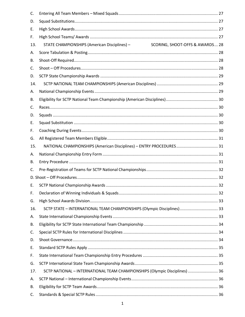| C.  |                                                                                 |  |
|-----|---------------------------------------------------------------------------------|--|
| D.  |                                                                                 |  |
| Ε.  |                                                                                 |  |
| F.  |                                                                                 |  |
| 13. | SCORING, SHOOT-OFFS & AWARDS 28<br>STATE CHAMPIONSHIPS (American Disciplines) - |  |
| А.  |                                                                                 |  |
| В.  |                                                                                 |  |
| C.  |                                                                                 |  |
| D.  |                                                                                 |  |
| 14. |                                                                                 |  |
| А.  |                                                                                 |  |
| В.  |                                                                                 |  |
| C.  |                                                                                 |  |
| D.  |                                                                                 |  |
| Ε.  |                                                                                 |  |
| F.  |                                                                                 |  |
| G.  |                                                                                 |  |
| 15. |                                                                                 |  |
| А.  |                                                                                 |  |
| В.  |                                                                                 |  |
| C.  |                                                                                 |  |
|     |                                                                                 |  |
| Е.  |                                                                                 |  |
| F.  |                                                                                 |  |
| G.  |                                                                                 |  |
| 16. | SCTP STATE - INTERNATIONAL TEAM CHAMPIONSHIPS (Olympic Disciplines) 33          |  |
| А.  |                                                                                 |  |
| В.  |                                                                                 |  |
| C.  |                                                                                 |  |
| D.  |                                                                                 |  |
| Ε.  |                                                                                 |  |
| F.  |                                                                                 |  |
| G.  |                                                                                 |  |
| 17. | SCTP NATIONAL - INTERNATIONAL TEAM CHAMPIONSHIPS (Olympic Disciplines)  36      |  |
| А.  |                                                                                 |  |
| В.  |                                                                                 |  |
| C.  |                                                                                 |  |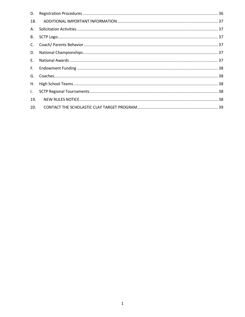| 18. |  |
|-----|--|
| A.  |  |
|     |  |
|     |  |
| D.  |  |
| E.  |  |
| F.  |  |
|     |  |
|     |  |
| L   |  |
| 19. |  |
| 20. |  |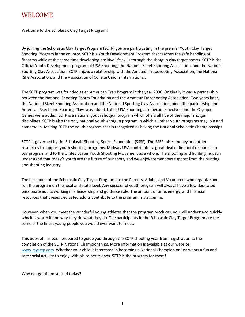## <span id="page-5-0"></span>WELCOME

Welcome to the Scholastic Clay Target Program!

By joining the Scholastic Clay Target Program (SCTP) you are participating in the premier Youth Clay Target Shooting Program in the country. SCTP is a Youth Development Program that teaches the safe handling of firearms while at the same time developing positive life skills through the shotgun clay target sports. SCTP is the Official Youth Development program of USA Shooting, the National Skeet Shooting Association, and the National Sporting Clay Association. SCTP enjoys a relationship with the Amateur Trapshooting Association, the National Rifle Association, and the Association of College Unions International.

The SCTP program was founded as an American Trap Program in the year 2000. Originally it was a partnership between the National Shooting Sports Foundation and the Amateur Trapshooting Association. Two years later, the National Skeet Shooting Association and the National Sporting Clay Association joined the partnership and American Skeet, and Sporting Clays was added. Later, USA Shooting also became involved and the Olympic Games were added. SCTP is a national youth shotgun program which offers all five of the major shotgun disciplines. SCTP is also the only national youth shotgun program in which all other youth programs may join and compete in. Making SCTP the youth program that is recognized as having the National Scholastic Championships.

SCTP is governed by the Scholastic Shooting Sports Foundation (SSSF). The SSSF raises money and other resources to support youth shooting programs. Midway USA contributes a great deal of financial resources to our program and to the United States Youth Shooting Movement as a whole. The shooting and hunting industry understand that today's youth are the future of our sport, and we enjoy tremendous support from the hunting and shooting industry.

The backbone of the Scholastic Clay Target Program are the Parents, Adults, and Volunteers who organize and run the program on the local and state level. Any successful youth program will always have a few dedicated passionate adults working in a leadership and guidance role. The amount of time, energy, and financial resources that theses dedicated adults contribute to the program is staggering.

However, when you meet the wonderful young athletes that the program produces, you will understand quickly why it is worth it and why they do what they do. The participants in the Scholastic Clay Target Program are the some of the finest young people you would ever want to meet.

This booklet has been prepared to guide you through the SCTP shooting year from registration to the completion of the SCTP National Championships. More information is available at our website: [www.mysctp.com](http://www.mysctp.com/) Whether your child is interested in becoming a National Champion or just wants a fun and safe social activity to enjoy with his or her friends, SCTP is the program for them!

Why not get them started today?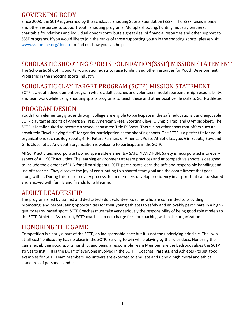# <span id="page-6-0"></span>GOVERNING BODY

Since 2008, the SCTP is governed by the Scholastic Shooting Sports Foundation (SSSF). The SSSF raises money and other resources to support youth shooting programs. Multiple shooting/hunting industry partners, charitable foundations and individual donors contribute a great deal of financial resources and other support to SSSF programs. If you would like to join the ranks of those supporting youth in the shooting sports, please visit [www.sssfonline.org/donate](http://www.sssfonline.org/donate) to find out how you can help.

#### <span id="page-6-1"></span>SCHOLASTIC SHOOTING SPORTS FOUNDATION(SSSF) MISSION STATEMENT

The Scholastic Shooting Sports Foundation exists to raise funding and other resources for Youth Development Programs in the shooting sports industry.

#### <span id="page-6-2"></span>SCHOLASTIC CLAY TARGET PROGRAM (SCTP) MISSION STATEMENT

SCTP is a youth development program where adult coaches and volunteers model sportsmanship, responsibility, and teamwork while using shooting sports programs to teach these and other positive life skills to SCTP athletes.

#### <span id="page-6-3"></span>PROGRAM DESIGN

Youth from elementary grades through college are eligible to participate in the safe, educational, and enjoyable SCTP clay target sports of American Trap, American Skeet, Sporting Clays, Olympic Trap, and Olympic Skeet. The SCTP is ideally suited to become a school sponsored Title IX Sport. There is no other sport that offers such an absolutely "level playing field" for gender participation as the shooting sports. The SCTP is a perfect fit for youth organizations such as Boy Scouts, 4 -H, Future Farmers of America., Police Athletic League, Girl Scouts, Boys and Girls Clubs, et al. Any youth organization is welcome to participate in the SCTP.

All SCTP activities incorporate two indispensable elements– SAFETY AND FUN. Safety is incorporated into every aspect of ALL SCTP activities. The learning environment at team practices and at competitive shoots is designed to include the element of FUN for all participants. SCTP participants learn the safe and responsible handling and use of firearms. They discover the joy of contributing to a shared team goal and the commitment that goes along with it. During this self-discovery process, team members develop proficiency in a sport that can be shared and enjoyed with family and friends for a lifetime.

#### <span id="page-6-4"></span>ADULT LEADERSHIP

The program is led by trained and dedicated adult volunteer coaches who are committed to providing, promoting, and perpetuating opportunities for their young athletes to safely and enjoyably participate in a high quality team- based sport. SCTP Coaches must take very seriously the responsibility of being good role models to the SCTP Athletes. As a result, SCTP coaches do not charge fees for coaching within the organization.

# <span id="page-6-5"></span>HONORING THE GAME

Competition is clearly a part of the SCTP, an indispensable part; but it is not the underlying principle. The "win at-all-cost" philosophy has no place in the SCTP. Striving to win while playing by the rules does. Honoring the game, exhibiting good sportsmanship, and being a responsible Team Member, are the bedrock values the SCTP strives to instill. It is the DUTY of everyone involved in the SCTP – Coaches, Parents, and Athletes - to set good examples for SCTP Team Members. Volunteers are expected to emulate and uphold high moral and ethical standards of personal conduct.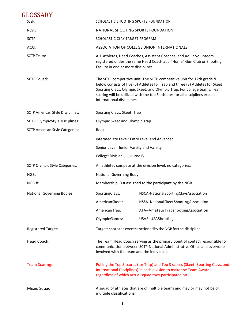<span id="page-7-0"></span>

| GLOSSARY                                |                                                                                                      |                                                                                                                                                                                                                                                                                                                                                  |  |  |
|-----------------------------------------|------------------------------------------------------------------------------------------------------|--------------------------------------------------------------------------------------------------------------------------------------------------------------------------------------------------------------------------------------------------------------------------------------------------------------------------------------------------|--|--|
| SSSF:                                   |                                                                                                      | SCHOLASTIC SHOOTING SPORTS FOUNDATION                                                                                                                                                                                                                                                                                                            |  |  |
| NSSF:                                   |                                                                                                      | NATIONAL SHOOTING SPORTS FOUNDATION                                                                                                                                                                                                                                                                                                              |  |  |
| SCTP:                                   |                                                                                                      | SCHOLASTIC CLAY TARGET PROGRAM                                                                                                                                                                                                                                                                                                                   |  |  |
| ACUI:                                   |                                                                                                      | ASSOCIATION OF COLLEGE UNION INTERNATIONALS                                                                                                                                                                                                                                                                                                      |  |  |
| <b>SCTP Team:</b>                       |                                                                                                      | ALL Athletes, Head Coaches, Assistant Coaches, and Adult Volunteers<br>registered under the same Head Coach at a "Home" Gun Club or Shooting<br>Facility in one or more disciplines.                                                                                                                                                             |  |  |
| SCTP Squad:                             |                                                                                                      | The SCTP competitive unit. The SCTP competitive unit for 12th grade &<br>below consists of five (5) Athletes for Trap and three (3) Athletes for Skeet,<br>Sporting Clays, Olympic Skeet, and Olympic Trap. For college teams, Team<br>scoring will be utilized with the top 5 athletes for all disciplines except<br>international disciplines. |  |  |
| <b>SCTP American Style Disciplines:</b> | Sporting Clays, Skeet, Trap                                                                          |                                                                                                                                                                                                                                                                                                                                                  |  |  |
| SCTP OlympicStyleDisciplines:           |                                                                                                      | Olympic Skeet and Olympic Trap                                                                                                                                                                                                                                                                                                                   |  |  |
| <b>SCTP American Style Categories:</b>  | Rookie                                                                                               |                                                                                                                                                                                                                                                                                                                                                  |  |  |
|                                         | Intermediate Level: Entry Level and Advanced                                                         |                                                                                                                                                                                                                                                                                                                                                  |  |  |
|                                         | Senior Level: Junior Varsity and Varsity                                                             |                                                                                                                                                                                                                                                                                                                                                  |  |  |
|                                         | College: Division I, II, III and IV                                                                  |                                                                                                                                                                                                                                                                                                                                                  |  |  |
| <b>SCTP Olympic Style Categories:</b>   |                                                                                                      | All athletes compete at the division level, no categories.                                                                                                                                                                                                                                                                                       |  |  |
| NGB:                                    | National Governing Body                                                                              |                                                                                                                                                                                                                                                                                                                                                  |  |  |
| NGB#:                                   |                                                                                                      | Membership ID # assigned to the participant by the NGB                                                                                                                                                                                                                                                                                           |  |  |
| <b>National Governing Bodies:</b>       | SportingClays:                                                                                       | NSCA-NationalSportingClaysAssociation                                                                                                                                                                                                                                                                                                            |  |  |
|                                         | AmericanSkeet:                                                                                       | NSSA-National Skeet Shooting Association                                                                                                                                                                                                                                                                                                         |  |  |
|                                         | AmericanTrap:                                                                                        | ATA-AmateurTrapshootingAssociation                                                                                                                                                                                                                                                                                                               |  |  |
|                                         | Olympic Games:                                                                                       | USAS-USAShooting                                                                                                                                                                                                                                                                                                                                 |  |  |
| <b>Registered Target:</b>               |                                                                                                      | Targets shot at an event sanctioned by the NGB for the discipline                                                                                                                                                                                                                                                                                |  |  |
| Head Coach:                             |                                                                                                      | The Team Head Coach serving as the primary point of contact responsible for<br>communication between SCTP National Administrative Office and everyone<br>involved with the team and the individual.                                                                                                                                              |  |  |
| <b>Team Scoring:</b>                    |                                                                                                      | Pulling the Top 5 scores (for Trap) and Top 3 scores (Skeet, Sporting Clays, and<br>International Disciplines) in each division to make the Team Award -<br>regardless of which actual squad they participated on.                                                                                                                               |  |  |
| Mixed Squad:                            | A squad of athletes that are of multiple teams and may or may not be of<br>multiple classifications. |                                                                                                                                                                                                                                                                                                                                                  |  |  |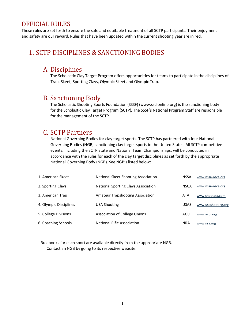# <span id="page-8-0"></span>OFFICIAL RULES

These rules are set forth to ensure the safe and equitable treatment of all SCTP participants. Their enjoyment and safety are our reward. Rules that have been updated within the current shooting year are in red.

#### <span id="page-8-2"></span><span id="page-8-1"></span>1. SCTP DISCIPLINES & SANCTIONING BODIES

#### A. Disciplines

 The Scholastic Clay Target Program offers opportunities for teams to participate in the disciplines of Trap, Skeet, Sporting Clays, Olympic Skeet and Olympic Trap.

#### <span id="page-8-3"></span>B. Sanctioning Body

The Scholastic Shooting Sports Foundation (SSSF) (www.sssfonline.org) is the sanctioning body for the Scholastic Clay Target Program (SCTP). The SSSF's National Program Staff are responsible for the management of the SCTP.

#### <span id="page-8-4"></span>C. SCTP Partners

National Governing Bodies for clay target sports. The SCTP has partnered with four National Governing Bodies (NGB) sanctioning clay target sports in the United States. All SCTP competitive events, including the SCTP State and National Team Championships, will be conducted in accordance with the rules for each of the clay target disciplines as set forth by the appropriate National Governing Body (NGB). See NGB's listed below:

| 1. American Skeet      | National Skeet Shooting Association     | <b>NSSA</b> | www.nssa-nsca.org   |
|------------------------|-----------------------------------------|-------------|---------------------|
| 2. Sporting Clays      | National Sporting Clays Association     | <b>NSCA</b> | www.nssa-nsca.org   |
| 3. American Trap       | <b>Amateur Trapshooting Association</b> | ATA         | www.shootata.com    |
| 4. Olympic Disciplines | USA Shooting                            | <b>USAS</b> | www.usashooting.org |
| 5. College Divisions   | <b>Association of College Unions</b>    | <b>ACUI</b> | www.acui.org        |
| 6. Coaching Schools    | National Rifle Association              | <b>NRA</b>  | www.nra.org         |

 Rulebooks for each sport are available directly from the appropriate NGB. Contact an NGB by going to its respective website.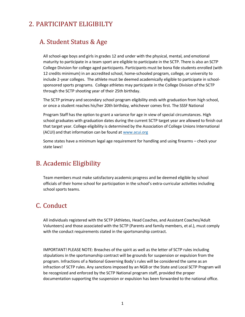# <span id="page-9-1"></span><span id="page-9-0"></span>2. PARTICIPANT ELIGIBILTY

#### A. Student Status & Age

All school-age boys and girls in grades 12 and under with the physical, mental, and emotional maturity to participate in a team sport are eligible to participate in the SCTP. There is also an SCTP College Division for college aged participants. Participants must be bona fide students enrolled (with 12 credits minimum) in an accredited school, home-schooled program, college, or university to include 2-year colleges. The athlete must be deemed academically eligible to participate in schoolsponsored sports programs. College athletes may participate in the College Division of the SCTP through the SCTP shooting year of their 25th birthday.

The SCTP primary and secondary school program eligibility ends with graduation from high school, or once a student reaches his/her 20th birthday, whichever comes first. The SSSF National

Program Staff has the option to grant a variance for age in view of special circumstances. High school graduates with graduation dates during the current SCTP target year are allowed to finish out that target year. College eligibility is determined by the Association of College Unions International (ACUI) and that information can be found a[t www.acui.org](http://www.acui.org/)

Some states have a minimum legal age requirement for handling and using firearms – check your state laws!

#### <span id="page-9-2"></span>B. Academic Eligibility

Team members must make satisfactory academic progress and be deemed eligible by school officials of their home school for participation in the school's extra-curricular activities including school sports teams.

# <span id="page-9-3"></span>C. Conduct

All individuals registered with the SCTP (Athletes, Head Coaches, and Assistant Coaches/Adult Volunteers) and those associated with the SCTP (Parents and family members, et al.), must comply with the conduct requirements stated in the sportsmanship contract.

IMPORTANT! PLEASE NOTE: Breaches of the spirit as well as the letter of SCTP rules including stipulations in the sportsmanship contract will be grounds for suspension or expulsion from the program. Infractions of a National Governing Body's rules will be considered the same as an infraction of SCTP rules. Any sanctions imposed by an NGB or the State and Local SCTP Program will be recognized and enforced by the SCTP National program staff, provided the proper documentation supporting the suspension or expulsion has been forwarded to the national office.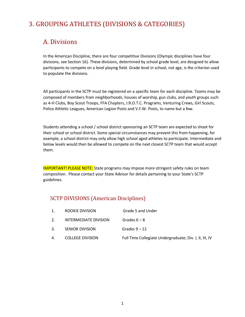# <span id="page-10-1"></span><span id="page-10-0"></span>3. GROUPING ATHLETES (DIVISIONS & CATEGORIES)

#### A. Divisions

In the American Discipline, there are four competitive Divisions (Olympic disciplines have four divisions, see Section 16). These divisions, determined by school grade level, are designed to allow participants to compete on a level playing field. Grade level in school, not age, is the criterion used to populate the divisions.

All participants in the SCTP must be registered on a specific team for each discipline. Teams may be composed of members from neighborhoods, houses of worship, gun clubs, and youth groups such as 4-H Clubs, Boy Scout Troops, FFA Chapters, J.R.O.T.C. Programs, Venturing Crews, Girl Scouts, Police Athletic Leagues, American Legion Posts and V.F.W. Posts, to name but a few.

Students attending a school / school district sponsoring an SCTP team are expected to shoot for their school or school district. Some special circumstances may prevent this from happening, for example, a school district may only allow high school aged athletes to participate. Intermediate and below levels would then be allowed to compete on the next closest SCTP team that would accept them.

IMPORTANT! PLEASE NOTE: State programs may impose more stringent safety rules on team composition. Please contact your State Advisor for details pertaining to your State's SCTP guidelines.

#### <span id="page-10-2"></span>SCTP DIVISIONS (American Disciplines)

|    | ROOKIE DIVISION         | Grade 5 and Under                                       |
|----|-------------------------|---------------------------------------------------------|
|    | INTERMEDIATE DIVISION   | Grades $6 - 8$                                          |
|    | <b>SENIOR DIVISION</b>  | Grades $9 - 12$                                         |
| 4. | <b>COLLEGE DIVISION</b> | Full Time Collegiate Undergraduate; Div. I, II, III, IV |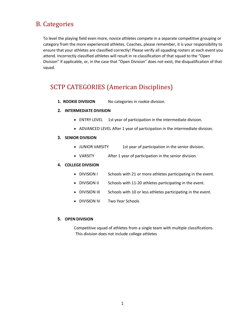## <span id="page-11-0"></span>B. Categories

To level the playing field even more, novice athletes compete in a separate competitive grouping or category from the more experienced athletes. Coaches, please remember, it is your responsibility to ensure that your athletes are classified correctly! Please verify all squading rosters at each event you attend. Incorrectly classified athletes will result in re-classification of that squad to the "Open Division" if applicable, or, in the case that "Open Division" does not exist, the disqualification of that squad.

# <span id="page-11-1"></span>SCTP CATEGORIES (American Disciplines)

**1. ROOKIE DIVISION** No categories in rookie division.

#### **2. INTERMEDIATE DIVISION**

- ENTRY LEVEL 1st year of participation in the intermediate division.
- ADVANCED LEVEL After 1 year of participation in the intermediate division.

#### **3. SENIOR DIVISION**

- JUNIOR VARSITY 1st year of participation in the senior division.
- VARSITY After 1 year of participation in the senior division.

#### **4. COLLEGE DIVISION**

- DIVISION I Schools with 21 or more athletes participating in the event.
- DIVISION II Schools with 11-20 athletes participating in the event.
- DIVISION III Schools with 10 or less athletes participating in the event.
- DIVISION IV Two Year Schools

#### **5. OPEN DIVISION**

Competitive squad of athletes from a single team with multiple classifications. This division does not include college athletes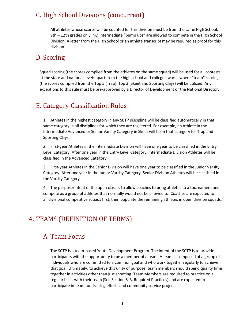# <span id="page-12-0"></span>C. High School Divisions (concurrent)

<span id="page-12-1"></span>All athletes whose scores will be counted for this division must be from the same High School, 9th – 12th grades only. NO Intermediate "bump ups" are allowed to compete in the High School Division. A letter from the High School or an athlete transcript may be required as proof for this division.

#### D. Scoring

Squad scoring (the scores compiled from the athletes on the same squad) will be used for all contests at the state and national levels apart from the high school and college awards where "team" scoring (the scores compiled from the Top 5 (Trap), Top 3 (Skeet and Sporting Clays) will be utilized. Any exceptions to this rule must be pre-approved by a Director of Development or the National Director.

# <span id="page-12-2"></span>E. Category Classification Rules

1. Athletes in the highest category in any SCTP discipline will be classified automatically in that same category in all disciplines for which they are registered. For example, an Athlete in the Intermediate Advanced or Senior Varsity Category in Skeet will be in that category for Trap and Sporting Clays.

2. First-year Athletes in the Intermediate Division will have one year to be classified in the Entry Level Category. After one year in the Entry Level Category, Intermediate Division Athletes will be classified in the Advanced Category.

3. First-year Athletes in the Senior Division will have one year to be classified in the Junior Varsity Category. After one year in the Junior Varsity Category, Senior Division Athletes will be classified in the Varsity Category.

4. The purpose/intent of the open class is to allow coaches to bring athletes to a tournament and compete as a group of athletes that normally would not be allowed to. Coaches are expected to fill all divisional competitive squads first, then populate the remaining athletes in open division squads.

# <span id="page-12-4"></span><span id="page-12-3"></span>4. TEAMS (DEFINITION OF TERMS)

#### A. Team Focus

The SCTP is a team-based Youth Development Program. The intent of the SCTP is to provide participants with the opportunity to be a member of a team. A team is composed of a group of individuals who are committed to a common goal and who work together regularly to achieve that goal. Ultimately, to achieve this unity of purpose, team members should spend quality time together in activities other than just shooting. Team Members are required to practice on a regular basis with their team (See Section 5-B, Required Practices) and are expected to participate in team fundraising efforts and community service projects.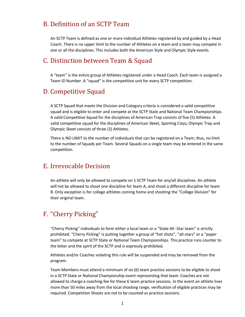#### <span id="page-13-0"></span>B. Definition of an SCTP Team

An SCTP Team is defined as one or more individual Athletes registered by and guided by a Head Coach. There is no upper limit to the number of Athletes on a team and a team may compete in one or all the disciplines. This includes both the American Style and Olympic Style events.

#### <span id="page-13-1"></span>C. Distinction between Team & Squad

A "team" is the entire group of Athletes registered under a Head Coach. Each team is assigned a Team ID Number. A "squad" is the competitive unit for every SCTP competition.

#### <span id="page-13-2"></span>D. Competitive Squad

A SCTP Squad that meets the Division and Category criteria is considered a valid competitive squad and is eligible to enter and compete at the SCTP State and National Team Championships. A valid Competitive Squad for the disciplines of American Trap consists of five (5) Athletes. A valid competitive squad for the disciplines of American Skeet, Sporting Clays, Olympic Trap and Olympic Skeet consists of three (3) Athletes.

There is NO LIMIT to the number of individuals that can be registered on a Team; thus, no limit to the number of Squads per Team. Several Squads on a single team may be entered in the same competition.

#### <span id="page-13-3"></span>E. Irrevocable Decision

An athlete will only be allowed to compete on 1 SCTP Team for any/all disciplines. An athlete will not be allowed to shoot one discipline for team A, and shoot a different discipline for team B. Only exception is for college athletes coming home and shooting the "College Division" for their original team.

#### <span id="page-13-4"></span>F. "Cherry Picking"

"Cherry Picking" individuals to form either a local team or a "State All -Star team" is strictly prohibited. "Cherry Picking" is putting together a group of "hot shots", "all-stars" or a "paper team" to compete at SCTP State or National Team Championships. This practice runs counter to the letter and the spirit of the SCTP and is expressly prohibited.

Athletes and/or Coaches violating this rule will be suspended and may be removed from the program.

Team Members must attend a minimum of six (6) team practice sessions to be eligible to shoot in a SCTP State or National Championship event representing that team. Coaches are not allowed to charge a coaching fee for these 6 team practice sessions. In the event an athlete lives more than 50 miles away from the local shooting range, verification of eligible practices may be required. Competition Shoots are not to be counted as practice sessions.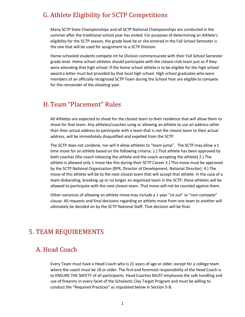#### <span id="page-14-0"></span>G. Athlete Eligibility for SCTP Competitions

Many SCTP State Championships and all SCTP National Championships are conducted in the summer after the traditional school year has ended. For purposes of determining an Athlete's eligibility for the SCTP season, the grade level he or she entered in the Fall School Semester is the one that will be used for assignment to a SCTP Division.

Home-schooled students compete int he Division commensurate with their Fall School Semester grade level. Home school athletes should participate with the closest club team just as if they were attending that high school. If the home school athlete is to be eligible for the high school award a letter must but provided by that local high school. High school graduates who were members of an officially recognized SCTP Team during the School Year are eligible to compete for the remainder of the shooting year.

#### <span id="page-14-1"></span>H. Team "Placement" Rules

All Athletes are expected to shoot for the closest team to their residence that will allow them to shoot for that team. Any athletes/coaches using or allowing an athlete to use an address other than their actual address to participate with a team that is not the closest team to their actual address, will be immediately disqualified and expelled from the SCTP.

The SCTP does not condone, nor will it allow athletes to "team jump". The SCTP may allow a 1 time move for an athlete based on the following criteria: 1.) That athlete has been approved by both coaches (the coach releasing the athlete and the coach accepting the athlete) 2.) The athlete is allowed only 1 move like this during their SCTP Career 3.) This move must be approved by the SCTP National Organization (RFR, Director of Development, National Director). 4.) The move of this athlete will be to the next closest team that will accept that athlete. In the case of a team disbanding, breaking up or no longer an organized team in the SCTP, these athletes will be allowed to participate with the next closest team. That move will not be counted against them.

Other variances of allowing an athlete move may include a 1 year "sit out" or "non-compete" clause. All requests and final decisions regarding an athlete move from one team to another will ultimately be decided on by the SCTP National Staff. That decision will be final.

#### <span id="page-14-2"></span>5. TEAM REQUIREMENTS

#### <span id="page-14-3"></span>A. Head Coach

Every Team must have a Head Coach who is 21 years of age or older, except for a college team where the coach must be 18 or older. The first and foremost responsibility of the Head Coach is to ENSURE THE SAFETY of all participants. Head Coaches MUST emphasize the safe handling and use of firearms in every facet of the Scholastic Clay Target Program and must be willing to conduct the "Required Practices" as stipulated below in Section 5-B.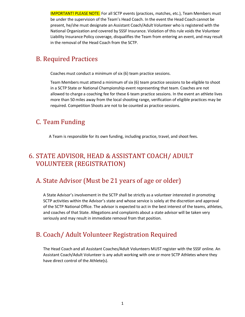IMPORTANT! PLEASE NOTE: For all SCTP events (practices, matches, etc.), Team Members must be under the supervision of the Team's Head Coach. In the event the Head Coach cannot be present, he/she must designate an Assistant Coach/Adult Volunteer who is registered with the National Organization and covered by SSSF Insurance. Violation of this rule voids the Volunteer Liability Insurance Policy coverage, disqualifies the Team from entering an event, and may result in the removal of the Head Coach from the SCTP.

# <span id="page-15-0"></span>B. Required Practices

Coaches must conduct a minimum of six (6) team practice sessions.

Team Members must attend a minimum of six (6) team practice sessions to be eligible to shoot in a SCTP State or National Championship event representing that team. Coaches are not allowed to charge a coaching fee for these 6 team practice sessions. In the event an athlete lives more than 50 miles away from the local shooting range, verification of eligible practices may be required. Competition Shoots are not to be counted as practice sessions.

#### <span id="page-15-1"></span>C. Team Funding

A Team is responsible for its own funding, including practice, travel, and shoot fees.

# <span id="page-15-2"></span>6. STATE ADVISOR, HEAD & ASSISTANT COACH/ ADULT VOLUNTEER (REGISTRATION)

#### <span id="page-15-3"></span>A. State Advisor (Must be 21 years of age or older)

A State Advisor's involvement in the SCTP shall be strictly as a volunteer interested in promoting SCTP activities within the Advisor's state and whose service is solely at the discretion and approval of the SCTP National Office. The advisor is expected to act in the best interest of the teams, athletes, and coaches of that State. Allegations and complaints about a state advisor will be taken very seriously and may result in immediate removal from that position.

# <span id="page-15-4"></span>B. Coach/ Adult Volunteer Registration Required

The Head Coach and all Assistant Coaches/Adult Volunteers MUST register with the SSSF online. An Assistant Coach/Adult Volunteer is any adult working with one or more SCTP Athletes where they have direct control of the Athlete(s).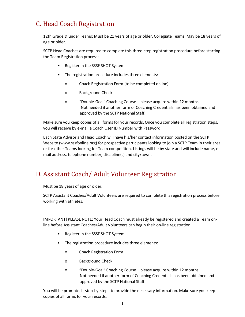# <span id="page-16-0"></span>C. Head Coach Registration

12th Grade & under Teams: Must be 21 years of age or older. Collegiate Teams: May be 18 years of age or older.

SCTP Head Coaches are required to complete this three-step registration procedure before starting the Team Registration process:

- Register in the SSSF SHOT System
- The registration procedure includes three elements:
	- o Coach Registration Form (to be completed online)
	- o Background Check
	- o "Double-Goal" Coaching Course please acquire within 12 months. Not needed if another form of Coaching Credentials has been obtained and approved by the SCTP National Staff.

Make sure you keep copies of all forms for your records. Once you complete all registration steps, you will receive by e-mail a Coach User ID Number with Password.

Each State Advisor and Head Coach will have his/her contact information posted on the SCTP Website (www.sssfonline.org) for prospective participants looking to join a SCTP Team in their area or for other Teams looking for Team competition. Listings will be by state and will include name, e mail address, telephone number, discipline(s) and city/town.

# <span id="page-16-1"></span>D. Assistant Coach/ Adult Volunteer Registration

Must be 18 years of age or older.

SCTP Assistant Coaches/Adult Volunteers are required to complete this registration process before working with athletes.

IMPORTANT! PLEASE NOTE: Your Head Coach must already be registered and created a Team online before Assistant Coaches/Adult Volunteers can begin their on-line registration.

- Register in the SSSF SHOT System
- The registration procedure includes three elements:
	- o Coach Registration Form
	- o Background Check
	- o "Double-Goal" Coaching Course please acquire within 12 months. Not needed if another form of Coaching Credentials has been obtained and approved by the SCTP National Staff.

You will be prompted - step-by-step - to provide the necessary information. Make sure you keep copies of all forms for your records.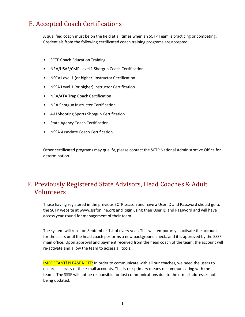# <span id="page-17-0"></span>E. Accepted Coach Certifications

A qualified coach must be on the field at all times when an SCTP Team is practicing or competing. Credentials from the following certificated coach training programs are accepted:

- SCTP Coach Education Training
- NRA/USAS/CMP Level 1 Shotgun Coach Certification
- NSCA Level 1 (or higher) Instructor Certification
- NSSA Level 1 (or higher) Instructor Certification
- NRA/ATA Trap Coach Certification
- NRA Shotgun Instructor Certification
- 4-H Shooting Sports Shotgun Certification
- State Agency Coach Certification
- NSSA Associate Coach Certification

Other certificated programs may qualify, please contact the SCTP National Administrative Office for determination.

# <span id="page-17-1"></span>F. Previously Registered State Advisors, Head Coaches & Adult Volunteers

Those having registered in the previous SCTP season and have a User ID and Password should go to the SCTP website at www.sssfonline.org and login using their User ID and Password and will have access year-round for management of their team.

The system will reset on September 1st of every year. This will temporarily inactivate the account for the users until the head coach performs a new background check, and it is approved by the SSSF main office. Upon approval and payment received from the head coach of the team, the account will re-activate and allow the team to access all tools.

IMPORTANT! PLEASE NOTE: In order to communicate with all our coaches, we need the users to ensure accuracy of the e-mail accounts. This is our primary means of communicating with the teams. The SSSF will not be responsible for lost communications due to the e-mail addresses not being updated.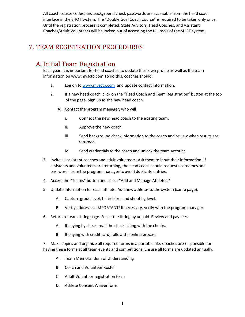All coach course codes, and background check passwords are accessible from the head coach interface in the SHOT system. The "Double Goal Coach Course" is required to be taken only once. Until the registration process is completed, State Advisors, Head Coaches, and Assistant Coaches/Adult Volunteers will be locked out of accessing the full tools of the SHOT system.

# <span id="page-18-0"></span>7. TEAM REGISTRATION PROCEDURES

# <span id="page-18-1"></span>A. Initial Team Registration

Each year, it is important for head coaches to update their own profile as well as the team information on www.mysctp.com To do this, coaches should:

- 1. Log on to [www.mysctp.com](http://www.mysctp.com/) and update contact information.
- 2. If a new head coach, click on the "Head Coach and Team Registration" button at the top of the page. Sign up as the new head coach.
	- A. Contact the program manager, who will
		- i. Connect the new head coach to the existing team.
		- ii. Approve the new coach.
		- iii. Send background check information to the coach and review when results are returned.
		- iv. Send credentials to the coach and unlock the team account.
- 3. Invite all assistant coaches and adult volunteers. Ask them to input their information. If assistants and volunteers are returning, the head coach should request usernames and passwords from the program manager to avoid duplicate entries.
- 4. Access the "Teams" button and select "Add and Manage Athletes."
- 5. Update information for each athlete. Add new athletes to the system (same page).
	- A. Capture grade level, t-shirt size, and shooting level.
	- B. Verify addresses. IMPORTANT! If necessary, verify with the program manager.
- 6. Return to team listing page. Select the listing by unpaid. Review and pay fees.
	- A. If paying by check, mail the check listing with the checks.
	- B. If paying with credit card, follow the online process.

7. Make copies and organize all required forms in a portable file. Coaches are responsible for having these forms at all team events and competitions. Ensure all forms are updated annually.

- A. Team Memorandum of Understanding
- B. Coach and Volunteer Roster
- C. Adult Volunteer registration form
- D. Athlete Consent Waiver form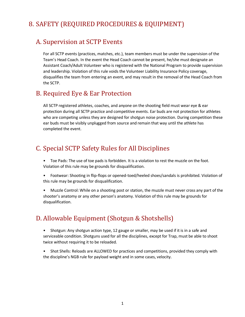# <span id="page-19-0"></span>8. SAFETY (REQUIRED PROCEDURES & EQUIPMENT)

#### <span id="page-19-1"></span>A. Supervision at SCTP Events

For all SCTP events (practices, matches, etc.), team members must be under the supervision of the Team's Head Coach. In the event the Head Coach cannot be present, he/she must designate an Assistant Coach/Adult Volunteer who is registered with the National Program to provide supervision and leadership. Violation of this rule voids the Volunteer Liability Insurance Policy coverage, disqualifies the team from entering an event, and may result in the removal of the Head Coach from the SCTP.

#### <span id="page-19-2"></span>B. Required Eye & Ear Protection

All SCTP registered athletes, coaches, and anyone on the shooting field must wear eye & ear protection during all SCTP practice and competitive events. Ear buds are not protection for athletes who are competing unless they are designed for shotgun noise protection. During competition these ear buds must be visibly unplugged from source and remain that way until the athlete has completed the event.

# <span id="page-19-3"></span>C. Special SCTP Safety Rules for All Disciplines

- Toe Pads: The use of toe pads is forbidden. It is a violation to rest the muzzle on the foot. Violation of this rule may be grounds for disqualification.
- Footwear: Shooting in flip-flops or opened-toed/heeled shoes/sandals is prohibited. Violation of this rule may be grounds for disqualification.
- Muzzle Control: While on a shooting post or station, the muzzle must never cross any part of the shooter's anatomy or any other person's anatomy. Violation of this rule may be grounds for disqualification.

# <span id="page-19-4"></span>D. Allowable Equipment (Shotgun & Shotshells)

- Shotgun: Any shotgun action type, 12 gauge or smaller, may be used if it is in a safe and serviceable condition. Shotguns used for all the disciplines, except for Trap, must be able to shoot twice without requiring it to be reloaded.
- Shot Shells: Reloads are ALLOWED for practices and competitions, provided they comply with the discipline's NGB rule for payload weight and in some cases, velocity.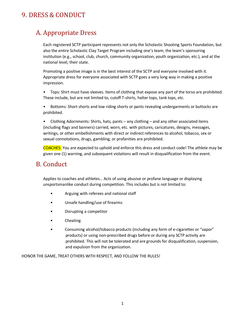# <span id="page-20-0"></span>9. DRESS & CONDUCT

# <span id="page-20-1"></span>A. Appropriate Dress

Each registered SCTP participant represents not only the Scholastic Shooting Sports Foundation, but also the entire Scholastic Clay Target Program including one's team, the team's sponsoring institution (e.g., school, club, church, community organization, youth organization, etc.), and at the national level, their state.

Promoting a positive image is in the best interest of the SCTP and everyone involved with it. Appropriate dress for everyone associated with SCTP goes a very long way in making a positive impression.

• Tops: Shirt must have sleeves. Items of clothing that expose any part of the torso are prohibited. These include, but are not limited to, cutoff T-shirts, halter tops, tank tops, etc.

• Bottoms: Short shorts and low riding shorts or pants revealing undergarments or buttocks are prohibited.

• Clothing Adornments: Shirts, hats, pants – any clothing – and any other associated items (including flags and banners) carried, worn, etc. with pictures, caricatures, designs, messages, writings, or other embellishments with direct or indirect references to alcohol, tobacco, sex or sexual connotations, drugs, gambling, or profanities are prohibited.

COACHES: You are expected to uphold and enforce this dress and conduct code! The athlete may be given one (1) warning, and subsequent violations will result in disqualification from the event.

# <span id="page-20-2"></span>B. Conduct

Applies to coaches and athletes… Acts of using abusive or profane language or displaying unsportsmanlike conduct during competition. This includes but is not limited to:

- Arguing with referees and national staff
- Unsafe handling/use of firearms
- Disrupting a competitor
- Cheating
- Consuming alcohol/tobacco products (including any form of e-cigarettes or "vapor" products) or using non-prescribed drugs before or during any SCTP activity are prohibited. This will not be tolerated and are grounds for disqualification, suspension, and expulsion from the organization.

HONOR THE GAME, TREAT OTHERS WITH RESPECT, AND FOLLOW THE RULES!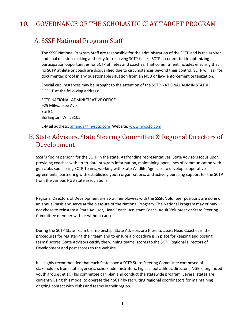# <span id="page-21-0"></span>10. GOVERNANCE OF THE SCHOLASTIC CLAY TARGET PROGRAM

#### <span id="page-21-1"></span>A. SSSF National Program Staff

The SSSF National Program Staff are responsible for the administration of the SCTP and is the arbiter and final decision-making authority for resolving SCTP issues. SCTP is committed to optimizing participation opportunities for SCTP athletes and coaches. That commitment includes ensuring that no SCTP athlete or coach are disqualified due to circumstances beyond their control. SCTP will ask for documented proof in any questionable situation from an NGB or law- enforcement organization.

Special circumstances may be brought to the attention of the SCTP NATIONAL ADMINISTATIVE OFFICE at the following address:

SCTP NATIONAL ADMINISTRATIVE OFFICE 925 Milwaukee Ave Ste B1 Burlington, WI 53105

E-Mail address[: amanda@mysctp.com](mailto:amanda@mysctp.com) Website[: www.mysctp.com](http://www.mysctp.com/)

# <span id="page-21-2"></span>B. State Advisors, State Steering Committee & Regional Directors of Development

SSSF's "point person" for the SCTP in the state. As frontline representatives, State Advisors focus upon providing coaches with up-to-date program information, maintaining open lines of communication with gun clubs sponsoring SCTP Teams, working with State Wildlife Agencies to develop cooperative agreements, partnering with established youth organizations, and actively pursuing support for the SCTP from the various NGB state associations.

Regional Directors of Development are at-will employees with the SSSF. Volunteer positions are done on an annual basis and serve at the pleasure of the National Program. The National Program may or may not chose to reinstate a State Advisor, Head Coach, Assistant Coach, Adult Volunteer or State Steering Committee member with or without cause.

During the SCTP State Team Championship, State Advisors are there to assist Head Coaches in the procedures for registering their team and to ensure a procedure is in place for keeping and posting teams' scores. State Advisors certify the winning teams' scores to the SCTP Regional Directors of Development and post scores to the website.

It is highly recommended that each State have a SCTP State Steering Committee composed of stakeholders from state agencies, school administrators, high school athletic directors, NGB's, organized youth groups, et al. This committee can plan and conduct the statewide program. Several states are currently using this model to operate their SCTP by recruiting regional coordinators for maintaining ongoing contact with clubs and teams in their region.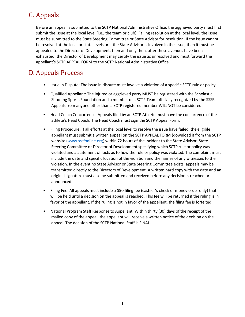# <span id="page-22-0"></span>C. Appeals

Before an appeal is submitted to the SCTP National Administrative Office, the aggrieved party must first submit the issue at the local level (i.e., the team or club). Failing resolution at the local level, the issue must be submitted to the State Steering Committee or State Advisor for resolution. If the issue cannot be resolved at the local or state levels or if the State Advisor is involved in the issue, then it must be appealed to the Director of Development, then and only then, after these avenues have been exhausted, the Director of Development may certify the issue as unresolved and must forward the appellant's SCTP APPEAL FORM to the SCTP National Administrative Office.

# <span id="page-22-1"></span>D. Appeals Process

- Issue in Dispute: The issue in dispute must involve a violation of a specific SCTP rule or policy.
- Qualified Appellant: The injured or aggrieved party MUST be registered with the Scholastic Shooting Sports Foundation and a member of a SCTP Team officially recognized by the SSSF. Appeals from anyone other than a SCTP registered member WILLNOT be considered.
- Head Coach Concurrence: Appeals filed by an SCTP Athlete must have the concurrence of the athlete's Head Coach. The Head Coach must sign the SCTP Appeal Form.
- Filing Procedure: If all efforts at the local level to resolve the issue have failed, the eligible appellant must submit a written appeal on the SCTP APPEAL FORM (download it from the SCTP website [\(www.sssfonline.org\)](http://www.sssfonline.org/) within 72 hours of the incident to the State Advisor, State Steering Committee or Director of Development specifying which SCTP rule or policy was violated and a statement of facts as to how the rule or policy was violated. The complaint must include the date and specific location of the violation and the names of any witnesses to the violation. In the event no State Advisor or State Steering Committee exists, appeals may be transmitted directly to the Directors of Development. A written hard copy with the date and an original signature must also be submitted and received before any decision is reached or announced.
- Filing Fee: All appeals must include a \$50 filing fee (cashier's check or money order only) that will be held until a decision on the appeal is reached. This fee will be returned if the ruling is in favor of the appellant. If the ruling is not in favor of the appellant, the filing fee is forfeited.
- National Program Staff Response to Appellant: Within thirty (30) days of the receipt of the mailed copy of the appeal, the appellant will receive a written notice of the decision on the appeal. The decision of the SCTP National Staff is FINAL.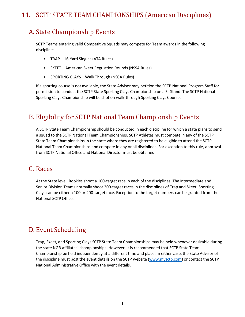# <span id="page-23-0"></span>11. SCTP STATE TEAM CHAMPIONSHIPS (American Disciplines)

# <span id="page-23-1"></span>A. State Championship Events

SCTP Teams entering valid Competitive Squads may compete for Team awards in the following disciplines:

- TRAP 16-Yard Singles (ATA Rules)
- SKEET American Skeet Regulation Rounds (NSSA Rules)
- SPORTING CLAYS Walk Through (NSCA Rules)

If a sporting course is not available, the State Advisor may petition the SCTP National Program Staff for permission to conduct the SCTP State Sporting Clays Championship on a 5- Stand. The SCTP National Sporting Clays Championship will be shot on walk-through Sporting Clays Courses.

# <span id="page-23-2"></span>B. Eligibility for SCTP National Team Championship Events

A SCTP State Team Championship should be conducted in each discipline for which a state plans to send a squad to the SCTP National Team Championships. SCTP Athletes must compete in any of the SCTP State Team Championships in the state where they are registered to be eligible to attend the SCTP National Team Championships and compete in any or all disciplines. For exception to this rule, approval from SCTP National Office and National Director must be obtained.

#### <span id="page-23-3"></span>C. Races

At the State level, Rookies shoot a 100-target race in each of the disciplines. The Intermediate and Senior Division Teams normally shoot 200-target races in the disciplines of Trap and Skeet. Sporting Clays can be either a 100 or 200-target race. Exception to the target numbers can be granted from the National SCTP Office.

#### <span id="page-23-4"></span>D. Event Scheduling

Trap, Skeet, and Sporting Clays SCTP State Team Championships may be held whenever desirable during the state NGB affiliates' championships. However, it is recommended that SCTP State Team Championship be held independently at a different time and place. In either case, the State Advisor of the discipline must post the event details on the SCTP website [\(www.mysctp.com\)](http://www.mysctp.com/) or contact the SCTP National Administrative Office with the event details.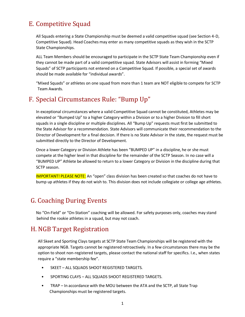# <span id="page-24-0"></span>E. Competitive Squad

All Squads entering a State Championship must be deemed a valid competitive squad (see Section 4-D, Competitive Squad). Head Coaches may enter as many competitive squads as they wish in the SCTP State Championships.

ALL Team Members should be encouraged to participate in the SCTP State Team Championship even if they cannot be made part of a valid competitive squad. State Advisors will assist in forming "Mixed Squads" of SCTP participants not entered on a Competitive Squad. If possible, a special set of awards should be made available for "individual awards".

"Mixed Squads" or athletes on one squad from more than 1 team are NOT eligible to compete for SCTP Team Awards.

# <span id="page-24-1"></span>F. Special Circumstances Rule: "Bump Up"

In exceptional circumstances where a valid Competitive Squad cannot be constituted, Athletes may be elevated or "Bumped Up" to a higher Category within a Division or to a higher Division to fill short squads in a single discipline or multiple disciplines. All "Bump Up" requests must first be submitted to the State Advisor for a recommendation. State Advisors will communicate their recommendation to the Director of Development for a final decision. If there is no State Advisor in the state, the request must be submitted directly to the Director of Development.

Once a lower Category or Division Athlete has been "BUMPED UP" in a discipline, he or she must compete at the higher level in that discipline for the remainder of the SCTP Season. In no case will a "BUMPED UP" Athlete be allowed to return to a lower Category or Division in the discipline during that SCTP season.

IMPORTANT! PLEASE NOTE: An "open" class division has been created so that coaches do not have to bump up athletes if they do not wish to. This division does not include collegiate or college age athletes.

# <span id="page-24-2"></span>G. Coaching During Events

No "On-Field" or "On-Station" coaching will be allowed. For safety purposes only, coaches may stand behind the rookie athletes in a squad, but may not coach.

#### <span id="page-24-3"></span>H. NGB Target Registration

All Skeet and Sporting Clays targets at SCTP State Team Championships will be registered with the appropriate NGB. Targets cannot be registered retroactively. In a few circumstances there may be the option to shoot non-registered targets, please contact the national staff for specifics. I.e., when states require a "state membership fee".

- SKEET ALL SQUADS SHOOT REGISTERED TARGETS.
- SPORTING CLAYS ALL SQUADS SHOOT REGISTERED TARGETS.
- TRAP In accordance with the MOU between the ATA and the SCTP, all State Trap Championships must be registered targets.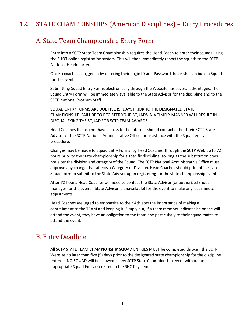# <span id="page-25-0"></span>12. STATE CHAMPIONSHIPS (American Disciplines) – Entry Procedures

#### <span id="page-25-1"></span>A. State Team Championship Entry Form

Entry into a SCTP State Team Championship requires the Head Coach to enter their squads using the SHOT online registration system. This will then immediately report the squads to the SCTP National Headquarters.

Once a coach has logged in by entering their Login ID and Password, he or she can build a Squad for the event.

Submitting Squad Entry Forms electronically through the Website has several advantages. The Squad Entry Form will be immediately available to the State Advisor for the discipline and to the SCTP National Program Staff.

SQUAD ENTRY FORMS ARE DUE FIVE (5) DAYS PRIOR TO THE DESIGNATED STATE CHAMPIONSHIP. FAILURE TO REGISTER YOUR SQUADS IN A TIMELY MANNER WILL RESULT IN DISQUALIFYING THE SQUAD FOR SCTP TEAM AWARDS.

Head Coaches that do not have access to the Internet should contact either their SCTP State Advisor or the SCTP National Administrative Office for assistance with the Squad entry procedure.

Changes may be made to Squad Entry Forms, by Head Coaches, through the SCTP Web up to 72 hours prior to the state championship for a specific discipline, so long as the substitution does not alter the division and category of the Squad. The SCTP National Administrative Office must approve any change that affects a Category or Division. Head Coaches should print off a revised Squad form to submit to the State Advisor upon registering for the state championship event.

After 72 hours, Head Coaches will need to contact the State Advisor (or authorized shoot manager for the event if State Advisor is unavailable) for the event to make any last-minute adjustments.

Head Coaches are urged to emphasize to their Athletes the importance of making a commitment to the TEAM and keeping it. Simply put, if a team member indicates he or she will attend the event, they have an obligation to the team and particularly to their squad mates to attend the event.

#### <span id="page-25-2"></span>B. Entry Deadline

All SCTP STATE TEAM CHAMPIONSHIP SQUAD ENTRIES MUST be completed through the SCTP Website no later than five (5) days prior to the designated state championship for the discipline entered. NO SQUAD will be allowed in any SCTP State Championship event without an appropriate Squad Entry on record in the SHOT system.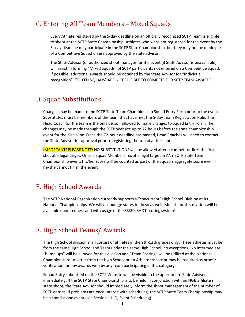#### <span id="page-26-0"></span>C. Entering All Team Members – Mixed Squads

Every Athlete registered by the 5-day deadline on an officially recognized SCTP Team is eligible to shoot at the SCTP State Championship. Athletes who were not registered for the event by the 5- day deadline may participate in the SCTP State Championship, but they may not be made part of a Competitive Squad unless approved by the state advisor.

The State Advisor (or authorized shoot manager for the event (if State Advisor is unavailable) will assist in forming "Mixed Squads" of SCTP participants not entered on a Competitive Squad. If possible, additional awards should be obtained by the State Advisor for "Individual recognition". "MIXED SQUADS" ARE NOT ELIGIBLE TO COMPETE FOR SCTP TEAM AWARDS.

#### <span id="page-26-1"></span>D. Squad Substitutions

Changes may be made to the SCTP State Team Championship Squad Entry Form prior to the event. Substitutes must be members of the team that have met the 5-day Team Registration Rule. The Head Coach for the team is the only person allowed to make changes to Squad Entry Form. The changes may be made through the SCTP Website up to 72 hours before the state championship event for the discipline. Once the 72-hour deadline has passed, Head Coaches will need to contact the State Advisor for approval prior to registering the squad at the shoot.

IMPORTANT! PLEASE NOTE: NO SUBSTITUTIONS will be allowed after a competitor fires the first shot at a legal target. Once a Squad Member fires at a legal target in ANY SCTP State Team Championship event, his/her score will be counted as part of the Squad's aggregate score even if he/she cannot finish the event.

#### <span id="page-26-2"></span>E. High School Awards

The SCTP National Organization currently supports a "concurrent" High School Division at its National Championships. We will encourage states to do so as well. Medals for this division will be available upon request and with usage of the SSSF's SHOT scoring system!

#### <span id="page-26-3"></span>F. High School Teams/ Awards

The High School division shall consist of athletes in the 9th-12th grades only. These athletes must be from the same High School and Team under the same High School, no exceptions! No Intermediate "bump ups" will be allowed for this division and "Team Scoring" will be utilized at the National Championships. A letter from the High School or an Athlete transcript may be required as proof / verification for any awards won by any team participating in this category.

Squad Entry submitted on the SCTP Website will be visible to the appropriate State Advisor immediately. If the SCTP State Championship is to be held in conjunction with an NGB affiliate's state shoot, the State Advisor should immediately inform the shoot management of the number of SCTP entries. If problems are encountered with scheduling, the SCTP State Team Championship may be a stand-alone event (see Section 11–D, Event Scheduling).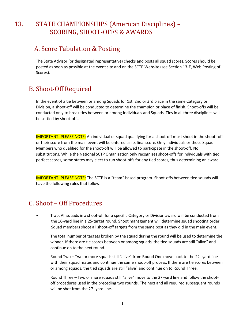# <span id="page-27-0"></span>13. STATE CHAMPIONSHIPS (American Disciplines) – SCORING, SHOOT-OFFS & AWARDS

#### <span id="page-27-1"></span>A. Score Tabulation & Posting

The State Advisor (or designated representative) checks and posts all squad scores. Scores should be posted as soon as possible at the event site and on the SCTP Website (see Section 13-E, Web Posting of Scores).

# <span id="page-27-2"></span>B. Shoot-Off Required

In the event of a tie between or among Squads for 1st, 2nd or 3rd place in the same Category or Division, a shoot-off will be conducted to determine the champion or place of finish. Shoot-offs will be conducted only to break ties between or among Individuals and Squads. Ties in all three disciplines will be settled by shoot-offs.

IMPORTANT! PLEASE NOTE: An individual or squad qualifying for a shoot-off must shoot in the shoot- off or their score from the main event will be entered as its final score. Only individuals or those Squad Members who qualified for the shoot-off will be allowed to participate in the shoot-off. No substitutions. While the National SCTP Organization only recognizes shoot-offs for individuals with tied perfect scores, some states may elect to run shoot-offs for any tied scores, thus determining an award.

IMPORTANT! PLEASE NOTE: The SCTP is a "team" based program. Shoot-offs between tied squads will have the following rules that follow.

#### <span id="page-27-3"></span>C. Shoot – Off Procedures

• Trap: All squads in a shoot-off for a specific Category or Division award will be conducted from the 16-yard line in a 25-target round. Shoot management will determine squad shooting order. Squad members shoot all shoot-off targets from the same post as they did in the main event.

The total number of targets broken by the squad during the round will be used to determine the winner. If there are tie scores between or among squads, the tied squads are still "alive" and continue on to the next round.

Round Two – Two or more squads still "alive" from Round One move back to the 22- yard line with their squad mates and continue the same shoot-off process. If there are tie scores between or among squads, the tied squads are still "alive" and continue on to Round Three.

Round Three – Two or more squads still "alive" move to the 27-yard line and follow the shootoff procedures used in the preceding two rounds. The next and all required subsequent rounds will be shot from the 27 -yard line.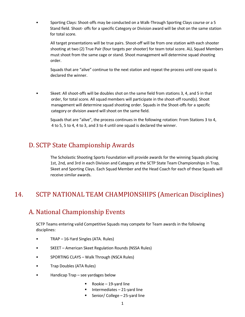• Sporting Clays: Shoot-offs may be conducted on a Walk-Through Sporting Clays course or a 5 Stand field. Shoot- offs for a specific Category or Division award will be shot on the same station for total score.

All target presentations will be true pairs. Shoot-off will be from one station with each shooter shooting at two (2) True Pair (four targets per shooter) for team total score. ALL Squad Members must shoot from the same cage or stand. Shoot management will determine squad shooting order.

Squads that are "alive" continue to the next station and repeat the process until one squad is declared the winner.

• Skeet: All shoot-offs will be doubles shot on the same field from stations 3, 4, and 5 in that order, for total score. All squad members will participate in the shoot-off round(s). Shoot management will determine squad shooting order. Squads in the Shoot-offs for a specific category or division award will shoot on the same field.

Squads that are "alive", the process continues in the following rotation: From Stations 3 to 4, 4 to 5, 5 to 4, 4 to 3, and 3 to 4 until one squad is declared the winner.

# <span id="page-28-0"></span>D. SCTP State Championship Awards

The Scholastic Shooting Sports Foundation will provide awards for the winning Squads placing 1st, 2nd, and 3rd in each Division and Category at the SCTP State Team Championships in Trap, Skeet and Sporting Clays. Each Squad Member and the Head Coach for each of these Squads will receive similar awards.

# <span id="page-28-1"></span>14. SCTP NATIONAL TEAM CHAMPIONSHIPS (American Disciplines)

# <span id="page-28-2"></span>A. National Championship Events

SCTP Teams entering valid Competitive Squads may compete for Team awards in the following disciplines:

- TRAP 16-Yard Singles (ATA. Rules)
- SKEET American Skeet Regulation Rounds (NSSA Rules)
- SPORTING CLAYS Walk Through (NSCA Rules)
- Trap Doubles (ATA Rules)
- Handicap Trap see yardages below
	- $\blacksquare$  Rookie 19-yard line
	- Intermediates  $-21$ -yard line
	- Senior/ College  $-25$ -yard line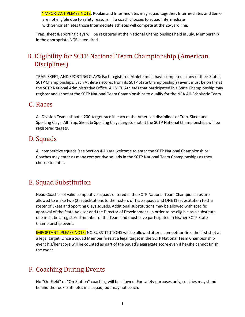\*IMPORTANT PLEASE NOTE: Rookie and Intermediates may squad together, Intermediates and Senior are not eligible due to safety reasons. If a coach chooses to squad Intermediate with Senior athletes those Intermediate athletes will compete at the 25-yard line.

Trap, skeet & sporting clays will be registered at the National Championships held in July. Membership in the appropriate NGB is required.

# <span id="page-29-0"></span>B. Eligibility for SCTP National Team Championship (American Disciplines)

TRAP, SKEET, AND SPORTING CLAYS: Each registered Athlete must have competed in any of their State's SCTP Championships. Each Athlete's scores from its SCTP State Championship(s) event must be on file at the SCTP National Administrative Office. All SCTP Athletes that participated in a State Championship may register and shoot at the SCTP National Team Championships to qualify for the NRA All-Scholastic Team.

#### <span id="page-29-1"></span>C. Races

All Division Teams shoot a 200-target race in each of the American disciplines of Trap, Skeet and Sporting Clays. All Trap, Skeet & Sporting Clays targets shot at the SCTP National Championships will be registered targets.

# <span id="page-29-2"></span>D. Squads

All competitive squads (see Section 4-D) are welcome to enter the SCTP National Championships. Coaches may enter as many competitive squads in the SCTP National Team Championships as they choose to enter.

# <span id="page-29-3"></span>E. Squad Substitution

Head Coaches of valid competitive squads entered in the SCTP National Team Championships are allowed to make two (2) substitutions to the rosters of Trap squads and ONE (1) substitution to the roster of Skeet and Sporting Clays squads. Additional substitutions may be allowed with specific approval of the State Advisor and the Director of Development. In order to be eligible as a substitute, one must be a registered member of the Team and must have participated in his/her SCTP State Championship event.

IMPORTANT! PLEASE NOTE: NO SUBSTITUTIONS will be allowed after a competitor fires the first shot at a legal target. Once a Squad Member fires at a legal target in the SCTP National Team Championship event his/her score will be counted as part of the Squad's aggregate score even if he/she cannot finish the event.

# <span id="page-29-4"></span>F. Coaching During Events

No "On-Field" or "On-Station" coaching will be allowed. For safety purposes only, coaches may stand behind the rookie athletes in a squad, but may not coach.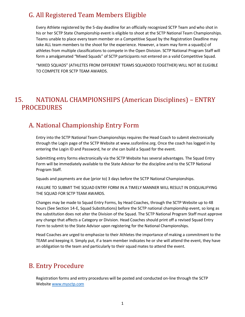# <span id="page-30-0"></span>G. All Registered Team Members Eligible

Every Athlete registered by the 5-day deadline for an officially recognized SCTP Team and who shot in his or her SCTP State Championship event is eligible to shoot at the SCTP National Team Championships. Teams unable to place every team member on a Competitive Squad by the Registration Deadline may take ALL team members to the shoot for the experience. However, a team may form a squad(s) of athletes from multiple classifications to compete in the Open Division. SCTP National Program Staff will form a amalgamated "Mixed Squads" of SCTP participants not entered on a valid Competitive Squad.

"MIXED SQUADS" (ATHLETES FROM DIFFERENT TEAMS SQUADDED TOGETHER) WILL NOT BE ELIGIBLE TO COMPETE FOR SCTP TEAM AWARDS.

# <span id="page-30-1"></span>15. NATIONAL CHAMPIONSHIPS (American Disciplines) – ENTRY PROCEDURES

# <span id="page-30-2"></span>A. National Championship Entry Form

Entry into the SCTP National Team Championships requires the Head Coach to submit electronically through the Login page of the SCTP Website at www.sssfonline.org. Once the coach has logged in by entering the Login ID and Password, he or she can build a Squad for the event.

Submitting entry forms electronically via the SCTP Website has several advantages. The Squad Entry Form will be immediately available to the State Advisor for the discipline and to the SCTP National Program Staff.

Squads and payments are due (prior to) 3 days before the SCTP National Championships.

FAILURE TO SUBMIT THE SQUAD ENTRY FORM IN A TIMELY MANNER WILL RESULT IN DISQUALIFYING THE SQUAD FOR SCTP TEAM AWARDS.

Changes may be made to Squad Entry Forms, by Head Coaches, through the SCTP Website up to 48 hours (See Section 14-E, Squad Substitutions) before the SCTP national championship event, so long as the substitution does not alter the Division of the Squad. The SCTP National Program Staff must approve any change that affects a Category or Division. Head Coaches should print off a revised Squad Entry Form to submit to the State Advisor upon registering for the National Championships.

Head Coaches are urged to emphasize to their Athletes the importance of making a commitment to the TEAM and keeping it. Simply put, if a team member indicates he or she will attend the event, they have an obligation to the team and particularly to their squad mates to attend the event.

# <span id="page-30-3"></span>B. Entry Procedure

Registration forms and entry procedures will be posted and conducted on-line through the SCTP Websit[e www.mysctp.com](http://www.mysctp.com/)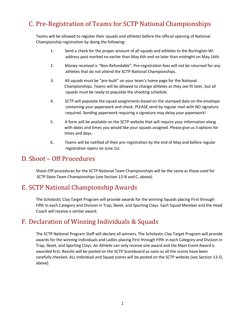# <span id="page-31-0"></span>C. Pre-Registration of Teams for SCTP National Championships

Teams will be allowed to register their squads and athletes before the official opening of National Championship registration by doing the following:

- 1. Send a check for the proper amount of all squads and athletes to the Burlington WI address post marked no earlier than May 6th and no later than midnight on May 16th.
- 2. Money received is "Non-Refundable". Pre-registration fees will not be returned for any athletes that do not attend the SCTP National Championships.
- 3. All squads must be "pre-built" on your team's home page for the National Championships. Teams will be allowed to change athletes as they see fit later, but all squads must be ready to populate the shooting schedule.
- 4. SCTP will populate the squad assignments based on the stamped date on the envelope containing your paperwork and check. PLEASE send by regular mail with NO signature required. Sending paperwork requiring a signature may delay your paperwork!
- 5. A form will be available on the SCTP website that will require your information along with dates and times you would like your squads assigned. Please give us 3 options for times and days.
- 6. Teams will be notified of their pre-registration by the end of May and before regular registration opens on June 1st.

#### <span id="page-31-1"></span>D. Shoot – Off Procedures

Shoot-Off procedures for the SCTP National Team Championships will be the same as those used for SCTP State Team Championships (see Section 13-B and C, above).

# <span id="page-31-2"></span>E. SCTP National Championship Awards

The Scholastic Clay Target Program will provide awards for the winning Squads placing First through Fifth in each Category and Division in Trap, Skeet, and Sporting Clays. Each Squad Member and the Head Coach will receive a similar award.

# <span id="page-31-3"></span>F. Declaration of Winning Individuals & Squads

The SCTP National Program Staff will declare all winners. The Scholastic Clay Target Program will provide awards for the winning Individuals and Ladies placing First through Fifth in each Category and Division in Trap, Skeet, and Sporting Clays. An Athlete can only receive one award and the Main Event Award is awarded first. Results will be posted on the SCTP Scoreboard as soon as all the scores have been carefully checked. ALL Individual and Squad scores will be posted on the SCTP website (see Section 13-D, above).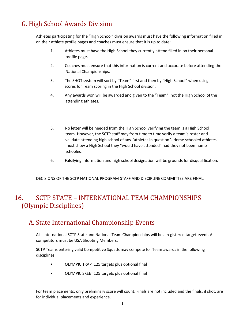# <span id="page-32-0"></span>G. High School Awards Division

Athletes participating for the "High School" division awards must have the following information filled in on their athlete profile pages and coaches must ensure that it is up to date:

- 1. Athletes must have the High School they currently attend filled in on their personal profile page.
- 2. Coaches must ensure that this information is current and accurate before attending the National Championships.
- 3. The SHOT system will sort by "Team" first and then by "High School" when using scores for Team scoring in the High School division.
- 4. Any awards won will be awarded and given to the "Team", not the High School of the attending athletes.
- 5. No letter will be needed from the High School verifying the team is a High School team. However, the SCTP staff may from time to time verify a team's roster and validate attending high school of any "athletes in question". Home schooled athletes must show a High School they "would have attended" had they not been home schooled.
- 6. Falsifying information and high school designation will be grounds for disqualification.

DECISIONS OF THE SCTP NATIONAL PROGRAM STAFF AND DISCIPLINE COMMITTEE ARE FINAL.

# <span id="page-32-1"></span>16. SCTP STATE – INTERNATIONAL TEAM CHAMPIONSHIPS (Olympic Disciplines)

# <span id="page-32-2"></span>A. State International Championship Events

ALL International SCTP State and National Team Championships will be a registered target event. All competitors must be USA Shooting Members.

SCTP Teams entering valid Competitive Squads may compete for Team awards in the following disciplines:

- OLYMPIC TRAP 125 targets plus optional final
- OLYMPIC SKEET 125 targets plus optional final

For team placements, only preliminary score will count. Finals are not included and the finals, if shot, are for individual placements and experience.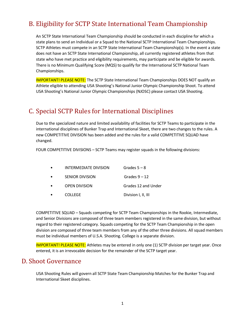# <span id="page-33-0"></span>B. Eligibility for SCTP State International Team Championship

An SCTP State International Team Championship should be conducted in each discipline for which a state plans to send an Individual or a Squad to the National SCTP International Team Championships. SCTP Athletes must compete in an SCTP State International Team Championship(s). In the event a state does not have an SCTP State International Championship, all currently registered athletes from that state who have met practice and eligibility requirements, may participate and be eligible for awards. There is no Minimum Qualifying Score (MQS) to qualify for the International SCTP National Team Championships.

IMPORTANT! PLEASE NOTE: The SCTP State International Team Championships DOES NOT qualify an Athlete eligible to attending USA Shooting's National Junior Olympic Championship Shoot. To attend USA Shooting's National Junior Olympic Championships (NJOSC) please contact USA Shooting.

# <span id="page-33-1"></span>C. Special SCTP Rules for International Disciplines

Due to the specialized nature and limited availability of facilities for SCTP Teams to participate in the international disciplines of Bunker Trap and International Skeet, there are two changes to the rules. A new COMPETITIVE DIVISION has been added and the rules for a valid COMPETITIVE SQUAD have changed.

FOUR COMPETITIVE DIVISIONS – SCTP Teams may register squads in the following divisions:

| $\bullet$ | INTERMEDIATE DIVISION | Grades $5 - 8$      |
|-----------|-----------------------|---------------------|
| $\bullet$ | SENIOR DIVISION       | Grades $9 - 12$     |
| $\bullet$ | <b>OPEN DIVISION</b>  | Grades 12 and Under |
| $\bullet$ | <b>COLLEGE</b>        | Division I, II, III |

COMPETITIVE SQUAD – Squads competing for SCTP Team Championships in the Rookie, Intermediate, and Senior Divisions are composed of three team members registered in the same division, but without regard to their registered category. Squads competing for the SCTP Team Championship in the open division are composed of three team members from any of the other three divisions. All squad members must be individual members of U.S.A. Shooting. College is a separate division.

IMPORTANT! PLEASE NOTE: Athletes may be entered in only one (1) SCTP division per target year. Once entered, it is an irrevocable decision for the remainder of the SCTP target year.

#### <span id="page-33-2"></span>D. Shoot Governance

USA Shooting Rules will govern all SCTP State Team Championship Matches for the Bunker Trap and International Skeet disciplines.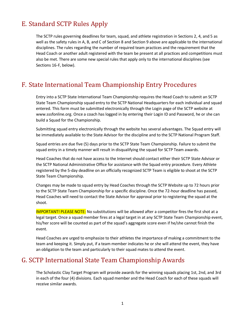# <span id="page-34-0"></span>E. Standard SCTP Rules Apply

The SCTP rules governing deadlines for team, squad, and athlete registration in Sections 2, 4, and 5 as well as the safety rules in A, B, and C of Section 8 and Section 9 above are applicable to the international disciplines. The rules regarding the number of required team practices and the requirement that the Head Coach or another adult registered with the team be present at all practices and competitions must also be met. There are some new special rules that apply only to the international disciplines (see Sections 16-F, below).

# <span id="page-34-1"></span>F. State International Team Championship Entry Procedures

Entry into a SCTP State International Team Championship requires the Head Coach to submit an SCTP State Team Championship squad entry to the SCTP National Headquarters for each individual and squad entered. This form must be submitted electronically through the Login page of the SCTP website at www.sssfonline.org. Once a coach has logged in by entering their Login ID and Password, he or she can build a Squad for the Championship.

Submitting squad entry electronically through the website has several advantages. The Squad entry will be immediately available to the State Advisor for the discipline and to the SCTP National Program Staff.

Squad entries are due five (5) days prior to the SCTP State Team Championship. Failure to submit the squad entry in a timely manner will result in disqualifying the squad for SCTP Team awards.

Head Coaches that do not have access to the Internet should contact either their SCTP State Advisor or the SCTP National Administrative Office for assistance with the Squad entry procedure. Every Athlete registered by the 5-day deadline on an officially recognized SCTP Team is eligible to shoot at the SCTP State Team Championship.

Changes may be made to squad entry by Head Coaches through the SCTP Website up to 72 hours prior to the SCTP State Team Championship for a specific discipline. Once the 72-hour deadline has passed, Head Coaches will need to contact the State Advisor for approval prior to registering the squad at the shoot.

**IMPORTANT! PLEASE NOTE:** No substitutions will be allowed after a competitor fires the first shot at a legal target. Once a squad member fires at a legal target in at any SCTP State Team Championship event, his/her score will be counted as part of the squad's aggregate score even if he/she cannot finish the event.

Head Coaches are urged to emphasize to their athletes the importance of making a commitment to the team and keeping it. Simply put, if a team member indicates he or she will attend the event, they have an obligation to the team and particularly to their squad mates to attend the event.

# <span id="page-34-2"></span>G. SCTP International State Team Championship Awards

The Scholastic Clay Target Program will provide awards for the winning squads placing 1st, 2nd, and 3rd in each of the four (4) divisions. Each squad member and the Head Coach for each of these squads will receive similar awards.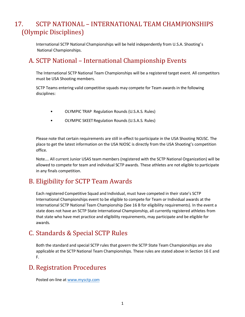# <span id="page-35-0"></span>17. SCTP NATIONAL – INTERNATIONAL TEAM CHAMPIONSHIPS (Olympic Disciplines)

International SCTP National Championships will be held independently from U.S.A. Shooting's National Championships.

# <span id="page-35-1"></span>A. SCTP National – International Championship Events

The International SCTP National Team Championships will be a registered target event. All competitors must be USA Shooting members.

SCTP Teams entering valid competitive squads may compete for Team awards in the following disciplines:

- OLYMPIC TRAP Regulation Rounds (U.S.A.S. Rules)
- OLYMPIC SKEETRegulation Rounds (U.S.A.S. Rules)

Please note that certain requirements are still in effect to participate in the USA Shooting NOJSC. The place to get the latest information on the USA NJOSC is directly from the USA Shooting's competition office.

Note…. All current Junior USAS team members (registered with the SCTP National Organization) will be allowed to compete for team and individual SCTP awards. These athletes are not eligible to participate in any finals competition.

# <span id="page-35-2"></span>B. Eligibility for SCTP Team Awards

Each registered Competitive Squad and Individual, must have competed in their state's SCTP International Championships event to be eligible to compete for Team or Individual awards at the International SCTP National Team Championship (See 16 B for eligibility requirements). In the event a state does not have an SCTP State International Championship, all currently registered athletes from that state who have met practice and eligibility requirements, may participate and be eligible for awards.

# <span id="page-35-3"></span>C. Standards & Special SCTP Rules

Both the standard and special SCTP rules that govern the SCTP State Team Championships are also applicable at the SCTP National Team Championships. These rules are stated above in Section 16 E and F.

# <span id="page-35-4"></span>D. Registration Procedures

Posted on-line a[t www.mysctp.com](http://www.mysctp.com/)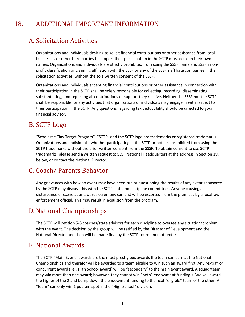# <span id="page-36-0"></span>18. ADDITIONAL IMPORTANT INFORMATION

#### <span id="page-36-1"></span>A. Solicitation Activities

Organizations and individuals desiring to solicit financial contributions or other assistance from local businesses or other third parties to support their participation in the SCTP must do so in their own names. Organizations and individuals are strictly prohibited from using the SSSF name and SSSF's nonprofit classification or claiming affiliation with the SSSF or any of the SSSF's affiliate companies in their solicitation activities, without the sole written consent of the SSSF.

Organizations and individuals accepting financial contributions or other assistance in connection with their participation in the SCTP shall be solely responsible for collecting, recording, disseminating, substantiating, and reporting all contributions or support they receive. Neither the SSSF nor the SCTP shall be responsible for any activities that organizations or individuals may engage in with respect to their participation in the SCTP. Any questions regarding tax deductibility should be directed to your financial advisor.

#### <span id="page-36-2"></span>B. SCTP Logo

"Scholastic Clay Target Program", "SCTP" and the SCTP logo are trademarks or registered trademarks. Organizations and individuals, whether participating in the SCTP or not, are prohibited from using the SCTP trademarks without the prior written consent from the SSSF. To obtain consent to use SCTP trademarks, please send a written request to SSSF National Headquarters at the address in Section 19, below, or contact the National Director.

# <span id="page-36-3"></span>C. Coach/ Parents Behavior

Any grievances with how an event may have been run or questioning the results of any event sponsored by the SCTP may discuss this with the SCTP staff and discipline committees. Anyone causing a disturbance or scene at an awards ceremony can and will be escorted from the premises by a local law enforcement official. This may result in expulsion from the program.

# <span id="page-36-4"></span>D. National Championships

The SCTP will petition 5-6 coaches/state advisors for each discipline to oversee any situation/problem with the event. The decision by the group will be ratified by the Director of Development and the National Director and then will be made final by the SCTP tournament director.

#### <span id="page-36-5"></span>E. National Awards

The SCTP "Main Event" awards are the most prestigious awards the team can earn at the National Championships and therefor will be awarded to a team eligible to win such an award first. Any "extra" or concurrent award (i.e., High School award) will be "secondary" to the main event award. A squad/team may win more than one award; however, they cannot win "both" endowment funding's. We will award the higher of the 2 and bump down the endowment funding to the next "eligible" team of the other. A "team" can only win 1 podium spot in the "High School" division.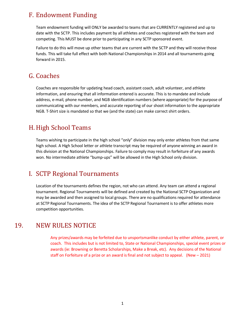# <span id="page-37-0"></span>F. Endowment Funding

Team endowment funding will ONLY be awarded to teams that are CURRENTLY registered and up to date with the SCTP. This includes payment by all athletes and coaches registered with the team and competing. This MUST be done prior to participating in any SCTP sponsored event.

Failure to do this will move up other teams that are current with the SCTP and they will receive those funds. This will take full effect with both National Championships in 2014 and all tournaments going forward in 2015.

#### <span id="page-37-1"></span>G. Coaches

Coaches are responsible for updating head coach, assistant coach, adult volunteer, and athlete information, and ensuring that all information entered is accurate. This is to mandate and include address, e-mail, phone number, and NGB identification numbers (where appropriate) for the purpose of communicating with our members, and accurate reporting of our shoot information to the appropriate NGB. T-Shirt size is mandated so that we (and the state) can make correct shirt orders.

# <span id="page-37-2"></span>H. High School Teams

Teams wishing to participate in the high school "only" division may only enter athletes from that same high school. A High School letter or athlete transcript may be required of anyone winning an award in this division at the National Championships. Failure to comply may result in forfeiture of any awards won. No intermediate athlete "bump-ups" will be allowed in the High School only division.

# <span id="page-37-3"></span>I. SCTP Regional Tournaments

Location of the tournaments defines the region, not who can attend. Any team can attend a regional tournament. Regional Tournaments will be defined and created by the National SCTP Organization and may be awarded and then assigned to local groups. There are no qualifications required for attendance at SCTP Regional Tournaments. The idea of the SCTP Regional Tournament is to offer athletes more competition opportunities.

#### <span id="page-37-4"></span>19. NEW RULES NOTICE

Any prizes/awards may be forfeited due to unsportsmanlike conduct by either athlete, parent, or coach. This includes but is not limited to, State or National Championships, special event prizes or awards (ie: Browning or Beretta Scholarships, Make a Break, etc). Any decisions of the National staff on Forfeiture of a prize or an award is final and not subject to appeal. (New – 2021)